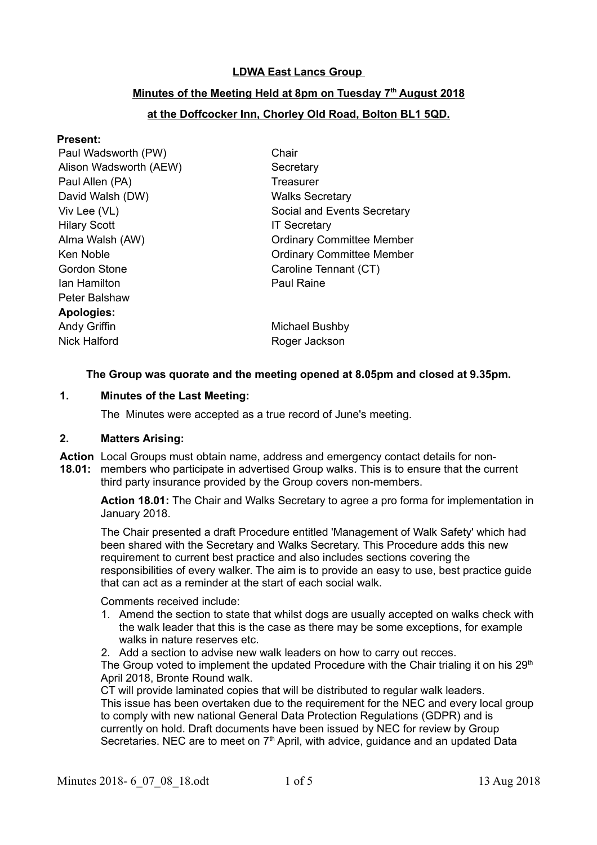# **LDWA East Lancs Group**

# **Minutes of the Meeting Held at 8pm on Tuesday 7th August 2018**

# **at the Doffcocker Inn, Chorley Old Road, Bolton BL1 5QD.**

#### **Present:**

Paul Wadsworth (PW) Chair Alison Wadsworth (AEW) Secretary Paul Allen (PA) Treasurer David Walsh (DW) Walks Secretary Hilary Scott **IT Secretary** Gordon Stone Caroline Tennant (CT) Ian Hamilton Paul Raine Peter Balshaw **Apologies:** Andy Griffin **Michael Bushby** Michael Bushby Nick Halford **Roger Jackson** 

Viv Lee (VL) Social and Events Secretary Alma Walsh (AW) Committee Member Ken Noble **Committee Member** Committee Member

## **The Group was quorate and the meeting opened at 8.05pm and closed at 9.35pm.**

### **1. Minutes of the Last Meeting:**

The Minutes were accepted as a true record of June's meeting.

### **2. Matters Arising:**

- **Action** Local Groups must obtain name, address and emergency contact details for non-
- **18.01:** members who participate in advertised Group walks. This is to ensure that the current third party insurance provided by the Group covers non-members.

**Action 18.01:** The Chair and Walks Secretary to agree a pro forma for implementation in January 2018.

The Chair presented a draft Procedure entitled 'Management of Walk Safety' which had been shared with the Secretary and Walks Secretary. This Procedure adds this new requirement to current best practice and also includes sections covering the responsibilities of every walker. The aim is to provide an easy to use, best practice guide that can act as a reminder at the start of each social walk.

Comments received include:

- 1. Amend the section to state that whilst dogs are usually accepted on walks check with the walk leader that this is the case as there may be some exceptions, for example walks in nature reserves etc.
- 2. Add a section to advise new walk leaders on how to carry out recces.

The Group voted to implement the updated Procedure with the Chair trialing it on his  $29<sup>th</sup>$ April 2018, Bronte Round walk.

CT will provide laminated copies that will be distributed to regular walk leaders. This issue has been overtaken due to the requirement for the NEC and every local group to comply with new national General Data Protection Regulations (GDPR) and is currently on hold. Draft documents have been issued by NEC for review by Group Secretaries. NEC are to meet on  $7<sup>th</sup>$  April, with advice, guidance and an updated Data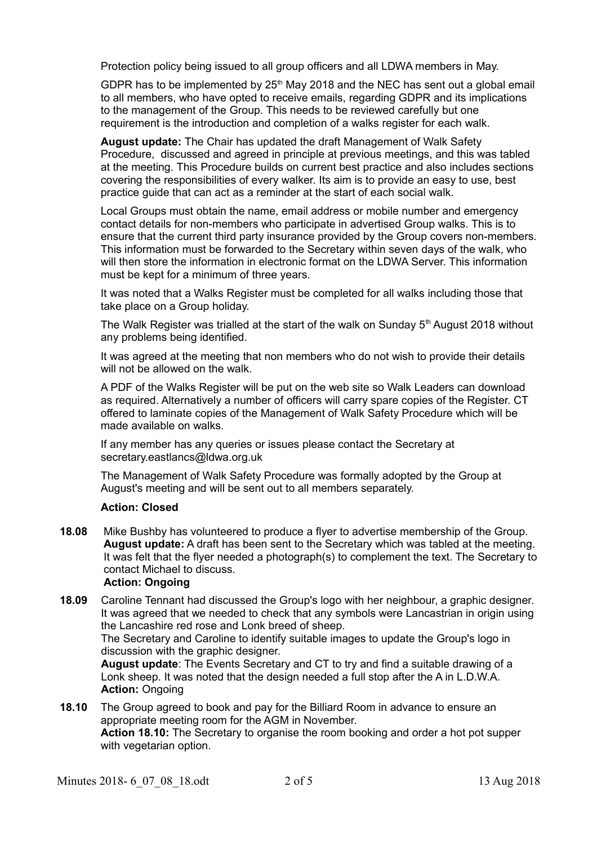Protection policy being issued to all group officers and all LDWA members in May.

GDPR has to be implemented by  $25<sup>th</sup>$  May 2018 and the NEC has sent out a global email to all members, who have opted to receive emails, regarding GDPR and its implications to the management of the Group. This needs to be reviewed carefully but one requirement is the introduction and completion of a walks register for each walk.

**August update:** The Chair has updated the draft Management of Walk Safety Procedure, discussed and agreed in principle at previous meetings, and this was tabled at the meeting. This Procedure builds on current best practice and also includes sections covering the responsibilities of every walker. Its aim is to provide an easy to use, best practice guide that can act as a reminder at the start of each social walk.

Local Groups must obtain the name, email address or mobile number and emergency contact details for non-members who participate in advertised Group walks. This is to ensure that the current third party insurance provided by the Group covers non-members. This information must be forwarded to the Secretary within seven days of the walk, who will then store the information in electronic format on the LDWA Server. This information must be kept for a minimum of three years.

It was noted that a Walks Register must be completed for all walks including those that take place on a Group holiday.

The Walk Register was trialled at the start of the walk on Sunday  $5<sup>th</sup>$  August 2018 without any problems being identified.

It was agreed at the meeting that non members who do not wish to provide their details will not be allowed on the walk.

A PDF of the Walks Register will be put on the web site so Walk Leaders can download as required. Alternatively a number of officers will carry spare copies of the Register. CT offered to laminate copies of the Management of Walk Safety Procedure which will be made available on walks.

If any member has any queries or issues please contact the Secretary at secretary.eastlancs@ldwa.org.uk

The Management of Walk Safety Procedure was formally adopted by the Group at August's meeting and will be sent out to all members separately.

## **Action: Closed**

**18.08** Mike Bushby has volunteered to produce a flyer to advertise membership of the Group. **August update:** A draft has been sent to the Secretary which was tabled at the meeting. It was felt that the flyer needed a photograph(s) to complement the text. The Secretary to contact Michael to discuss.

#### **Action: Ongoing**

**18.09** Caroline Tennant had discussed the Group's logo with her neighbour, a graphic designer. It was agreed that we needed to check that any symbols were Lancastrian in origin using the Lancashire red rose and Lonk breed of sheep.

The Secretary and Caroline to identify suitable images to update the Group's logo in discussion with the graphic designer.

**August update**: The Events Secretary and CT to try and find a suitable drawing of a Lonk sheep. It was noted that the design needed a full stop after the A in L.D.W.A. **Action:** Ongoing

**18.10** The Group agreed to book and pay for the Billiard Room in advance to ensure an appropriate meeting room for the AGM in November. **Action 18.10:** The Secretary to organise the room booking and order a hot pot supper with vegetarian option.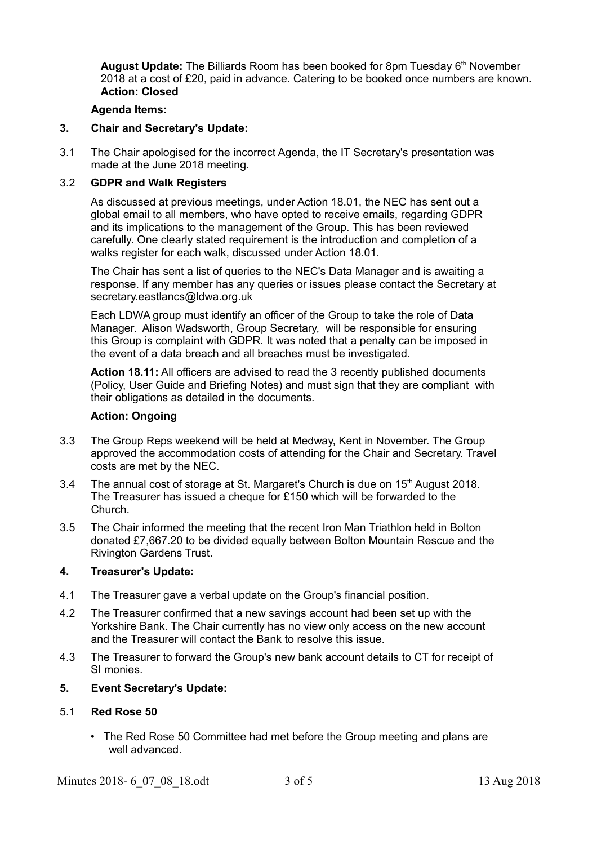August Update: The Billiards Room has been booked for 8pm Tuesday 6<sup>th</sup> November 2018 at a cost of £20, paid in advance. Catering to be booked once numbers are known. **Action: Closed**

#### **Agenda Items:**

### **3. Chair and Secretary's Update:**

3.1 The Chair apologised for the incorrect Agenda, the IT Secretary's presentation was made at the June 2018 meeting.

# 3.2 **GDPR and Walk Registers**

As discussed at previous meetings, under Action 18.01, the NEC has sent out a global email to all members, who have opted to receive emails, regarding GDPR and its implications to the management of the Group. This has been reviewed carefully. One clearly stated requirement is the introduction and completion of a walks register for each walk, discussed under Action 18.01.

The Chair has sent a list of queries to the NEC's Data Manager and is awaiting a response. If any member has any queries or issues please contact the Secretary at secretary.eastlancs@ldwa.org.uk

Each LDWA group must identify an officer of the Group to take the role of Data Manager. Alison Wadsworth, Group Secretary, will be responsible for ensuring this Group is complaint with GDPR. It was noted that a penalty can be imposed in the event of a data breach and all breaches must be investigated.

**Action 18.11:** All officers are advised to read the 3 recently published documents (Policy, User Guide and Briefing Notes) and must sign that they are compliant with their obligations as detailed in the documents.

#### **Action: Ongoing**

- 3.3 The Group Reps weekend will be held at Medway, Kent in November. The Group approved the accommodation costs of attending for the Chair and Secretary. Travel costs are met by the NEC.
- 3.4 The annual cost of storage at St. Margaret's Church is due on 15th August 2018. The Treasurer has issued a cheque for £150 which will be forwarded to the Church.
- 3.5 The Chair informed the meeting that the recent Iron Man Triathlon held in Bolton donated £7,667.20 to be divided equally between Bolton Mountain Rescue and the Rivington Gardens Trust.

#### **4. Treasurer's Update:**

- 4.1 The Treasurer gave a verbal update on the Group's financial position.
- 4.2 The Treasurer confirmed that a new savings account had been set up with the Yorkshire Bank. The Chair currently has no view only access on the new account and the Treasurer will contact the Bank to resolve this issue.
- 4.3 The Treasurer to forward the Group's new bank account details to CT for receipt of SI monies.

#### **5. Event Secretary's Update:**

#### 5.1 **Red Rose 50**

• The Red Rose 50 Committee had met before the Group meeting and plans are well advanced.

Minutes 2018- 6 07 08 18.odt 3 of 5 13 Aug 2018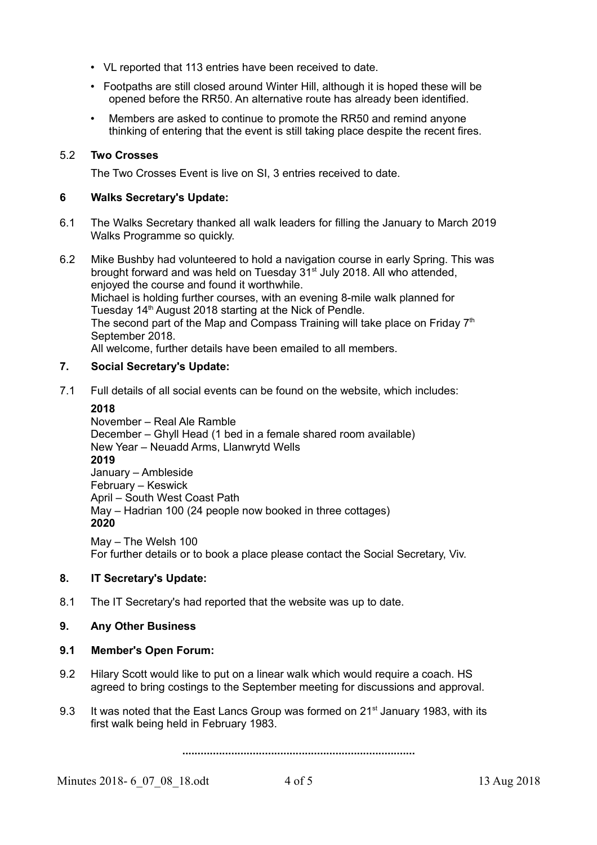- VL reported that 113 entries have been received to date.
- Footpaths are still closed around Winter Hill, although it is hoped these will be opened before the RR50. An alternative route has already been identified.
- Members are asked to continue to promote the RR50 and remind anyone thinking of entering that the event is still taking place despite the recent fires.

# 5.2 **Two Crosses**

The Two Crosses Event is live on SI, 3 entries received to date.

### **6 Walks Secretary's Update:**

- 6.1 The Walks Secretary thanked all walk leaders for filling the January to March 2019 Walks Programme so quickly.
- 6.2 Mike Bushby had volunteered to hold a navigation course in early Spring. This was brought forward and was held on Tuesday 31<sup>st</sup> July 2018. All who attended, enjoyed the course and found it worthwhile. Michael is holding further courses, with an evening 8-mile walk planned for Tuesday 14<sup>th</sup> August 2018 starting at the Nick of Pendle. The second part of the Map and Compass Training will take place on Friday  $7<sup>th</sup>$ September 2018. All welcome, further details have been emailed to all members.

## **7. Social Secretary's Update:**

7.1 Full details of all social events can be found on the website, which includes:

#### **2018**

November – Real Ale Ramble December – Ghyll Head (1 bed in a female shared room available) New Year – Neuadd Arms, Llanwrytd Wells **2019** January – Ambleside February – Keswick April – South West Coast Path May – Hadrian 100 (24 people now booked in three cottages) **2020**

May – The Welsh 100 For further details or to book a place please contact the Social Secretary, Viv.

### **8. IT Secretary's Update:**

8.1 The IT Secretary's had reported that the website was up to date.

## **9. Any Other Business**

## **9.1 Member's Open Forum:**

- 9.2 Hilary Scott would like to put on a linear walk which would require a coach. HS agreed to bring costings to the September meeting for discussions and approval.
- 9.3 It was noted that the East Lancs Group was formed on 21<sup>st</sup> January 1983, with its first walk being held in February 1983.

**............................................................................**

Minutes 2018- 6 07 08 18.odt 4 of 5 13 Aug 2018